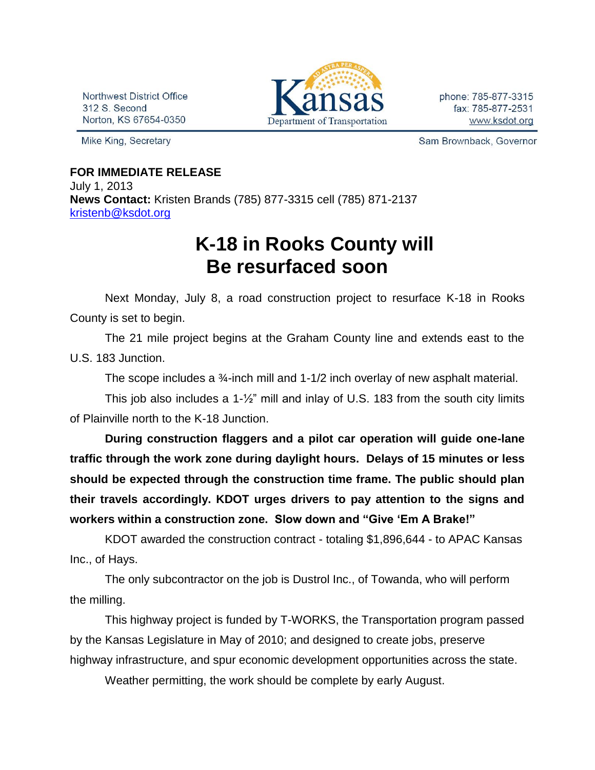Northwest District Office 312 S. Second Norton, KS 67654-0350

Mike King, Secretary



phone: 785-877-3315 fax: 785-877-2531 www.ksdot.org

Sam Brownback, Governor

## **FOR IMMEDIATE RELEASE**

July 1, 2013 **News Contact:** Kristen Brands (785) 877-3315 cell (785) 871-2137 [kristenb@ksdot.org](mailto:kristenb@ksdot.org)

## **K-18 in Rooks County will Be resurfaced soon**

Next Monday, July 8, a road construction project to resurface K-18 in Rooks County is set to begin.

The 21 mile project begins at the Graham County line and extends east to the U.S. 183 Junction.

The scope includes a ¾-inch mill and 1-1/2 inch overlay of new asphalt material.

This job also includes a 1-½" mill and inlay of U.S. 183 from the south city limits of Plainville north to the K-18 Junction.

**During construction flaggers and a pilot car operation will guide one-lane traffic through the work zone during daylight hours. Delays of 15 minutes or less should be expected through the construction time frame. The public should plan their travels accordingly. KDOT urges drivers to pay attention to the signs and workers within a construction zone. Slow down and "Give 'Em A Brake!"**

KDOT awarded the construction contract - totaling \$1,896,644 - to APAC Kansas Inc., of Hays.

The only subcontractor on the job is Dustrol Inc., of Towanda, who will perform the milling.

This highway project is funded by T-WORKS, the Transportation program passed by the Kansas Legislature in May of 2010; and designed to create jobs, preserve highway infrastructure, and spur economic development opportunities across the state.

Weather permitting, the work should be complete by early August.